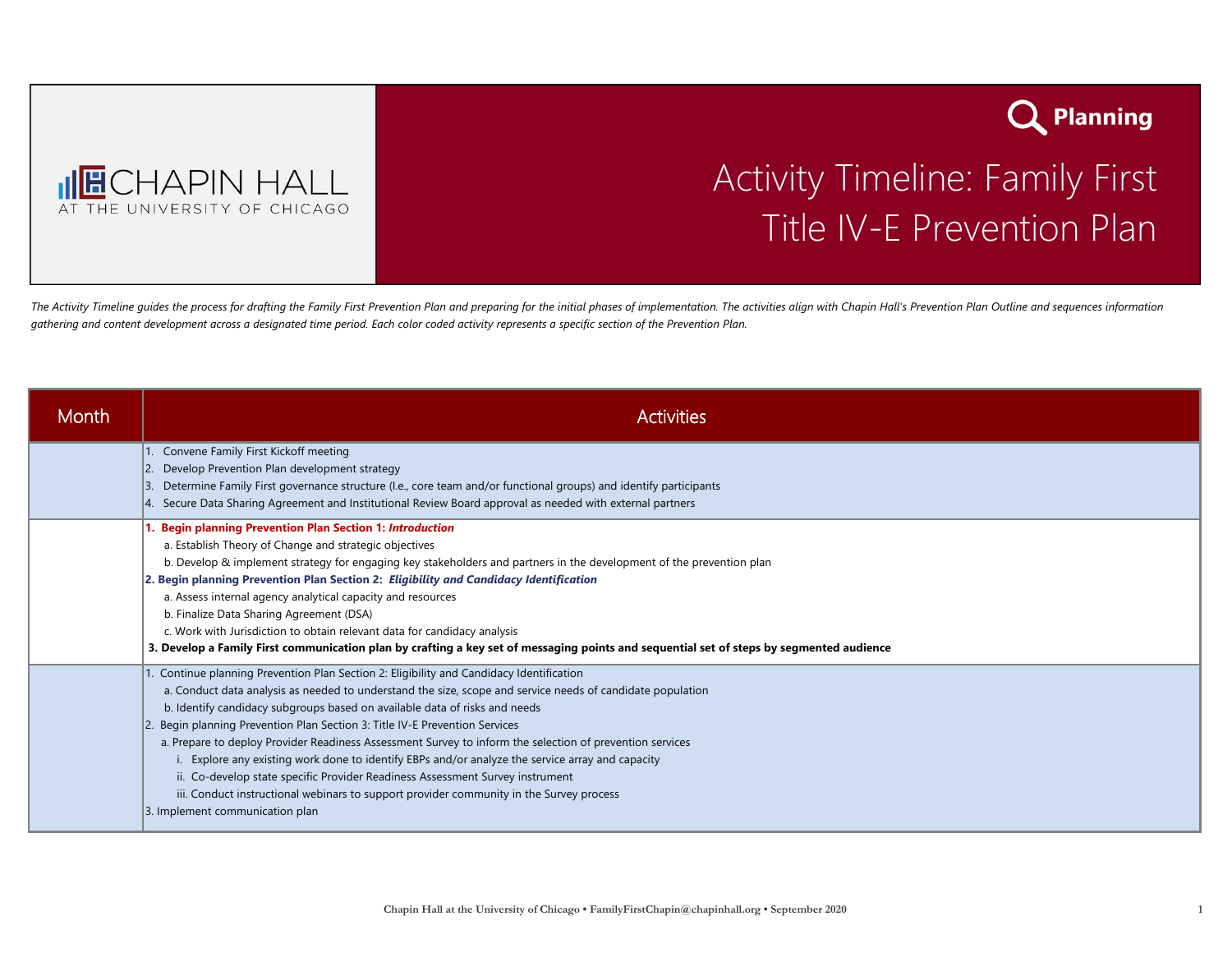



## Activity Timeline: Family First Title IV-E Prevention Plan

The Activity Timeline quides the process for drafting the Family First Prevention Plan and preparing for the initial phases of implementation. The activities alian with Chapin Hall's Prevention Plan Outline and sequences i *gathering and content development across a designated time period. Each color coded activity represents a specific section of the Prevention Plan.* 

| Month | <b>Activities</b>                                                                                                                                                                                                                                                                                                                                                                                                                                                                                                                                                                                                                                                                                                                                                                            |
|-------|----------------------------------------------------------------------------------------------------------------------------------------------------------------------------------------------------------------------------------------------------------------------------------------------------------------------------------------------------------------------------------------------------------------------------------------------------------------------------------------------------------------------------------------------------------------------------------------------------------------------------------------------------------------------------------------------------------------------------------------------------------------------------------------------|
|       | Convene Family First Kickoff meeting<br>Develop Prevention Plan development strategy<br>Determine Family First governance structure (I.e., core team and/or functional groups) and identify participants<br>13.<br>Secure Data Sharing Agreement and Institutional Review Board approval as needed with external partners                                                                                                                                                                                                                                                                                                                                                                                                                                                                    |
|       | <b>Begin planning Prevention Plan Section 1: Introduction</b><br>a. Establish Theory of Change and strategic objectives<br>b. Develop & implement strategy for engaging key stakeholders and partners in the development of the prevention plan<br>2. Begin planning Prevention Plan Section 2: Eligibility and Candidacy Identification<br>a. Assess internal agency analytical capacity and resources<br>b. Finalize Data Sharing Agreement (DSA)<br>c. Work with Jurisdiction to obtain relevant data for candidacy analysis<br>3. Develop a Family First communication plan by crafting a key set of messaging points and sequential set of steps by segmented audience                                                                                                                  |
|       | 1. Continue planning Prevention Plan Section 2: Eligibility and Candidacy Identification<br>a. Conduct data analysis as needed to understand the size, scope and service needs of candidate population<br>b. Identify candidacy subgroups based on available data of risks and needs<br>Begin planning Prevention Plan Section 3: Title IV-E Prevention Services<br>a. Prepare to deploy Provider Readiness Assessment Survey to inform the selection of prevention services<br>Explore any existing work done to identify EBPs and/or analyze the service array and capacity<br>ii. Co-develop state specific Provider Readiness Assessment Survey instrument<br>iii. Conduct instructional webinars to support provider community in the Survey process<br>3. Implement communication plan |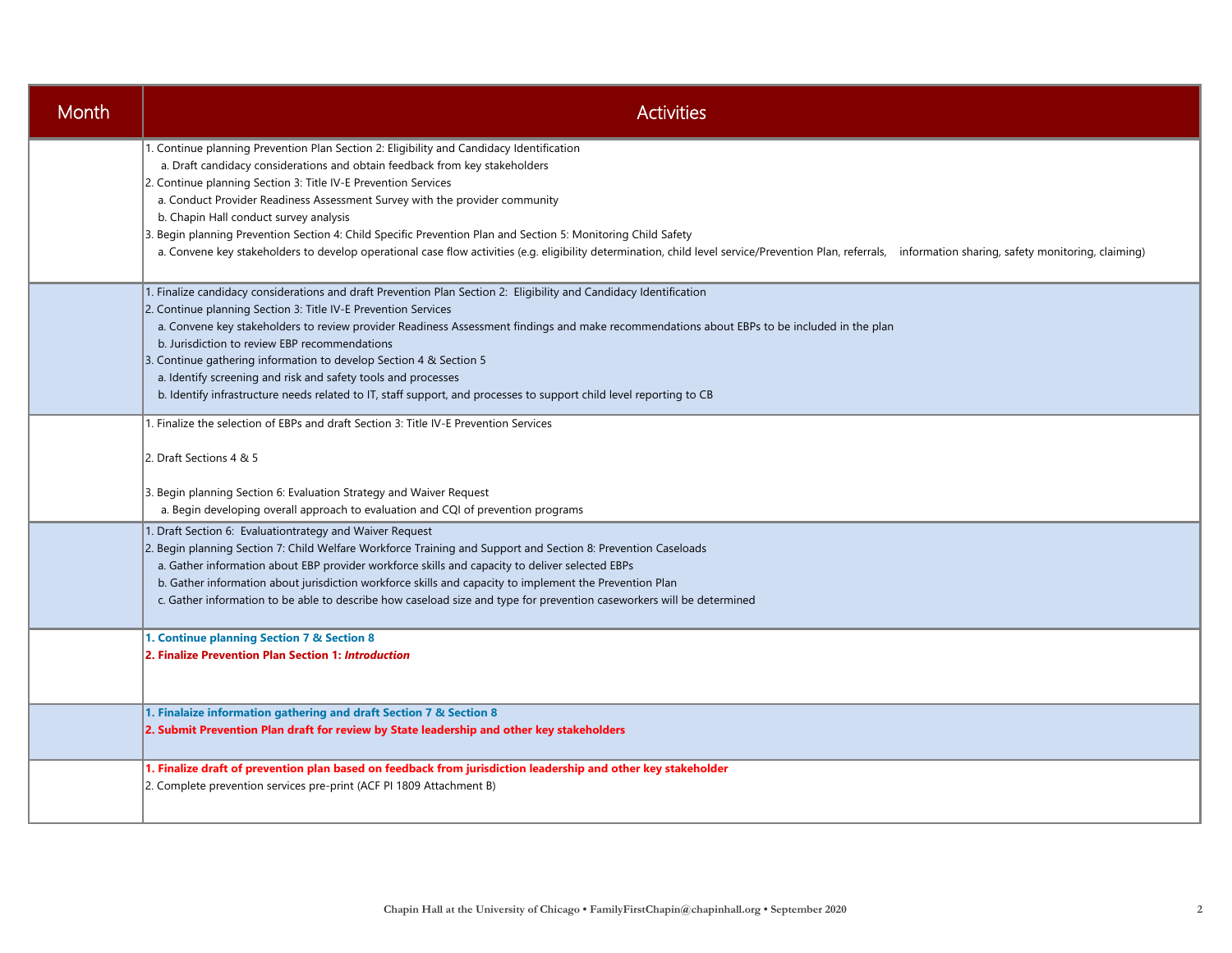| Month | <b>Activities</b>                                                                                                                                                                                                                                                                                                                                                                                                                                                                                                                                                                                                                                                                                 |
|-------|---------------------------------------------------------------------------------------------------------------------------------------------------------------------------------------------------------------------------------------------------------------------------------------------------------------------------------------------------------------------------------------------------------------------------------------------------------------------------------------------------------------------------------------------------------------------------------------------------------------------------------------------------------------------------------------------------|
|       | 1. Continue planning Prevention Plan Section 2: Eligibility and Candidacy Identification<br>a. Draft candidacy considerations and obtain feedback from key stakeholders<br>2. Continue planning Section 3: Title IV-E Prevention Services<br>a. Conduct Provider Readiness Assessment Survey with the provider community<br>b. Chapin Hall conduct survey analysis<br>3. Begin planning Prevention Section 4: Child Specific Prevention Plan and Section 5: Monitoring Child Safety<br>a. Convene key stakeholders to develop operational case flow activities (e.g. eligibility determination, child level service/Prevention Plan, referrals, information sharing, safety monitoring, claiming) |
|       | 1. Finalize candidacy considerations and draft Prevention Plan Section 2: Eligibility and Candidacy Identification<br>2. Continue planning Section 3: Title IV-E Prevention Services<br>a. Convene key stakeholders to review provider Readiness Assessment findings and make recommendations about EBPs to be included in the plan<br>b. Jurisdiction to review EBP recommendations<br>3. Continue gathering information to develop Section 4 & Section 5<br>a. Identify screening and risk and safety tools and processes<br>b. Identify infrastructure needs related to IT, staff support, and processes to support child level reporting to CB                                                |
|       | 1. Finalize the selection of EBPs and draft Section 3: Title IV-E Prevention Services<br>2. Draft Sections 4 & 5<br>3. Begin planning Section 6: Evaluation Strategy and Waiver Request<br>a. Begin developing overall approach to evaluation and CQI of prevention programs                                                                                                                                                                                                                                                                                                                                                                                                                      |
|       | 1. Draft Section 6: Evaluationtrategy and Waiver Request<br>2. Begin planning Section 7: Child Welfare Workforce Training and Support and Section 8: Prevention Caseloads<br>a. Gather information about EBP provider workforce skills and capacity to deliver selected EBPs<br>b. Gather information about jurisdiction workforce skills and capacity to implement the Prevention Plan<br>c. Gather information to be able to describe how caseload size and type for prevention caseworkers will be determined                                                                                                                                                                                  |
|       | 1. Continue planning Section 7 & Section 8<br>2. Finalize Prevention Plan Section 1: Introduction                                                                                                                                                                                                                                                                                                                                                                                                                                                                                                                                                                                                 |
|       | 1. Finalaize information gathering and draft Section 7 & Section 8<br>2. Submit Prevention Plan draft for review by State leadership and other key stakeholders                                                                                                                                                                                                                                                                                                                                                                                                                                                                                                                                   |
|       | 1. Finalize draft of prevention plan based on feedback from jurisdiction leadership and other key stakeholder<br>2. Complete prevention services pre-print (ACF PI 1809 Attachment B)                                                                                                                                                                                                                                                                                                                                                                                                                                                                                                             |